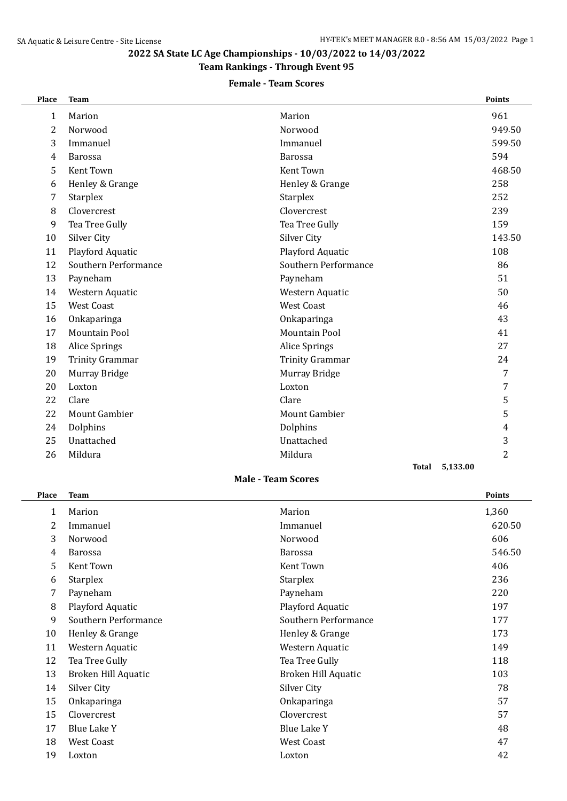# **2022 SA State LC Age Championships - 10/03/2022 to 14/03/2022**

## **Team Rankings - Through Event 95**

### **Female - Team Scores**

| Place | <b>Team</b>            |                          | Points         |
|-------|------------------------|--------------------------|----------------|
| 1     | Marion                 | Marion                   | 961            |
| 2     | Norwood                | Norwood                  | 949.50         |
| 3     | Immanuel               | Immanuel                 | 599.50         |
| 4     | <b>Barossa</b>         | <b>Barossa</b>           | 594            |
| 5     | <b>Kent Town</b>       | <b>Kent Town</b>         | 468.50         |
| 6     | Henley & Grange        | Henley & Grange          | 258            |
| 7     | <b>Starplex</b>        | <b>Starplex</b>          | 252            |
| 8     | Clovercrest            | Clovercrest              | 239            |
| 9     | Tea Tree Gully         | Tea Tree Gully           | 159            |
| 10    | Silver City            | <b>Silver City</b>       | 143.50         |
| 11    | Playford Aquatic       | Playford Aquatic         | 108            |
| 12    | Southern Performance   | Southern Performance     | 86             |
| 13    | Payneham               | Payneham                 | 51             |
| 14    | Western Aquatic        | Western Aquatic          | 50             |
| 15    | <b>West Coast</b>      | <b>West Coast</b>        | 46             |
| 16    | Onkaparinga            | Onkaparinga              | 43             |
| 17    | <b>Mountain Pool</b>   | <b>Mountain Pool</b>     | 41             |
| 18    | <b>Alice Springs</b>   | <b>Alice Springs</b>     | 27             |
| 19    | <b>Trinity Grammar</b> | <b>Trinity Grammar</b>   | 24             |
| 20    | Murray Bridge          | Murray Bridge            | 7              |
| 20    | Loxton                 | Loxton                   | $\overline{7}$ |
| 22    | Clare                  | Clare                    | 5              |
| 22    | <b>Mount Gambier</b>   | <b>Mount Gambier</b>     | 5              |
| 24    | Dolphins               | Dolphins                 | 4              |
| 25    | Unattached             | Unattached               | 3              |
| 26    | Mildura                | Mildura                  | 2              |
|       |                        | 5,133.00<br><b>Total</b> |                |

#### **Male - Team Scores**

| <b>Place</b> | <b>Team</b>                |                      | <b>Points</b> |
|--------------|----------------------------|----------------------|---------------|
| 1            | Marion                     | Marion               | 1,360         |
| 2            | Immanuel                   | Immanuel             | 620.50        |
| 3            | Norwood                    | Norwood              | 606           |
| 4            | <b>Barossa</b>             | <b>Barossa</b>       | 546.50        |
| 5            | Kent Town                  | Kent Town            | 406           |
| 6            | <b>Starplex</b>            | <b>Starplex</b>      | 236           |
| 7            | Payneham                   | Payneham             | 220           |
| 8            | Playford Aquatic           | Playford Aquatic     | 197           |
| 9            | Southern Performance       | Southern Performance | 177           |
| 10           | Henley & Grange            | Henley & Grange      | 173           |
| 11           | Western Aquatic            | Western Aquatic      | 149           |
| 12           | Tea Tree Gully             | Tea Tree Gully       | 118           |
| 13           | <b>Broken Hill Aquatic</b> | Broken Hill Aquatic  | 103           |
| 14           | Silver City                | Silver City          | 78            |
| 15           | Onkaparinga                | Onkaparinga          | 57            |
| 15           | Clovercrest                | Clovercrest          | 57            |
| 17           | <b>Blue Lake Y</b>         | <b>Blue Lake Y</b>   | 48            |
| 18           | West Coast                 | West Coast           | 47            |
| 19           | Loxton                     | Loxton               | 42            |
|              |                            |                      |               |